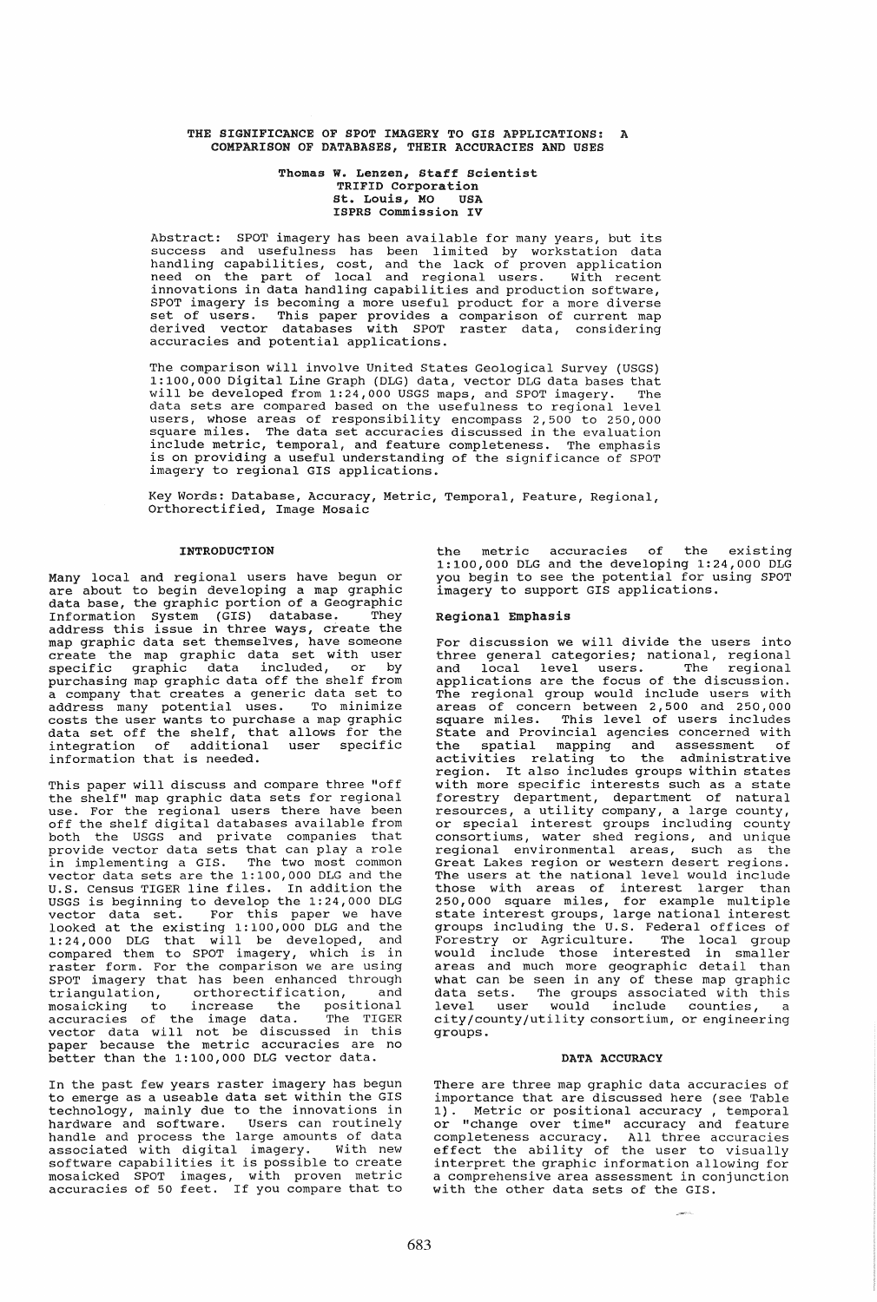### THE SIGNIFICANCE OF SPOT IMAGERY TO GIS APPLICATIONS: A COMPARISON OF DATABASES, THEIR ACCURACIES AND USES

#### Thomas W. Lenzen, Staff scientist TRIFID Corporation st. Louis, MO USA ISPRS Commission IV

Abstract: SPOT imagery has been available for many years, but its success and usefulness has been limited by workstation data handling capabilities, cost, and the lack of proven application need on the part of local and regional users. With recent innovations in data handling capabilities and production software, SPOT imagery is becoming a more useful product for a more diverse set of users. This paper provides a comparison of current map derived vector databases with SPOT raster data, considering accuracies and potential applications.

The comparison will involve united States Geological Survey (USGS) 1:100,000 Digital Line Graph (DLG) data, vector DLG data bases that will be developed from 1:24,000 USGS maps, and SPOT imagery. The data sets are compared based on the usefulness to regional level users, whose areas of responsibility encompass 2,500 to 250,000 square miles. The data set accuracies discussed **in** the evaluation include metric, temporal, and feature completeness. The emphasis is on providing a useful understanding of the significance of SPOT imagery to regional GIS applications.

Key Words: Database, Accuracy, Metric, Temporal, Feature, Regional, Orthorectified, Image Mosaic

# **TNTRODUCTION**

Many local and regional users have begun or are about to begin developing a map graphic data base, the graphic portion of a Geographic Information System (GIS) database. They address this issue in three ways, create the map graphic data set themselves, have someone create the map graphic data set with user specific graphic data included, or by purchasing map graphic data off the shelf from a company that creates a generic data set to address many potential uses. To minimize costs the user wants to purchase a map graphic data set off the shelf, that allows for the integration of additional user specific information that is needed.

This paper will discuss and compare three "off the shelf" map graphic data sets for regional use. For the regional users there have been use. For the regional users there have been<br>off the shelf digital databases available from both the USGS and private companies that provide vector data sets that can play a role in implementing a GIS. The two most common vector data sets are the 1:100,000 DLG and the U.S. Census TIGER line files. In addition the USGS is beginning to develop the 1:24,000 DLG vector data set. For this paper we have looked at the existing 1:100,000 DLG and the 1:24,000 DLG that will be developed, and 1.24,000 DBG chat will be acveraged, and compared them to brot imagery, miled is in SPOT imagery that has been enhanced through<br>triangulation, orthorectification, and triangulation, orthorectification, and mosaicking to increase the positional accuracies of the image data. The TIGER vector data will not be discussed in this paper because the metric accuracies are no better than the 1:100,000 DLG vector data.

In the past few years raster imagery has begun to emerge as a useable data set within the GIS technology, mainly due to the innovations in hardware and software. Users can routinely handle and process the large amounts of data<br>associated with digital imagery. With new software capabilities it is possible to create mosaicked SPOT images, with proven metric accuracies of 50 feet. If you compare that to

the metric accuracies of the existing 1:100,000 DLG and the developing 1:24,000 DLG you begin to see the potential for using SPOT imagery to support GIS applications.

## Regional Emphasis

For discussion we will divide the users into three general categories; national, regional and local level users. The regional and **room** force about the interesting applications are the focus of the discussion. The regional group would include users with areas of concern between 2,500 and 250,000 square miles. This level of users includes State and Provincial agencies concerned with the spatial mapping and assessment of activities relating to the administrative region. It also includes groups within states with more specific interests such as a state forestry department, department of natural resources, a utility company, a large county, or special interest groups including county consortiums, water shed regions, and unique regional environmental areas, such as the Great Lakes region or western desert regions. The users at the national level would include those with areas of interest larger than 250,000 square miles, for example multiple state interest groups, large national interest groups including the U.S. Federal offices of Forestry or Agriculture. The local group would include those interested in smaller areas and much more geographic detail than what can be seen in any of these map graphic data sets. The groups associated with this level user would include counties, a city/county/utility consortium, or engineering groups.

## DATA ACCURACY

There are three map graphic data accuracies of importance that are discussed here (see Table 1). Metric or positional accuracy, temporal Metric or positional accuracy, temporal or "change over time" accuracy and feature completeness accuracy. All three accuracies effect the ability of the user to visually interpret the graphic information allowing for a comprehensive area assessment in conjunction with the other data sets of the GIS.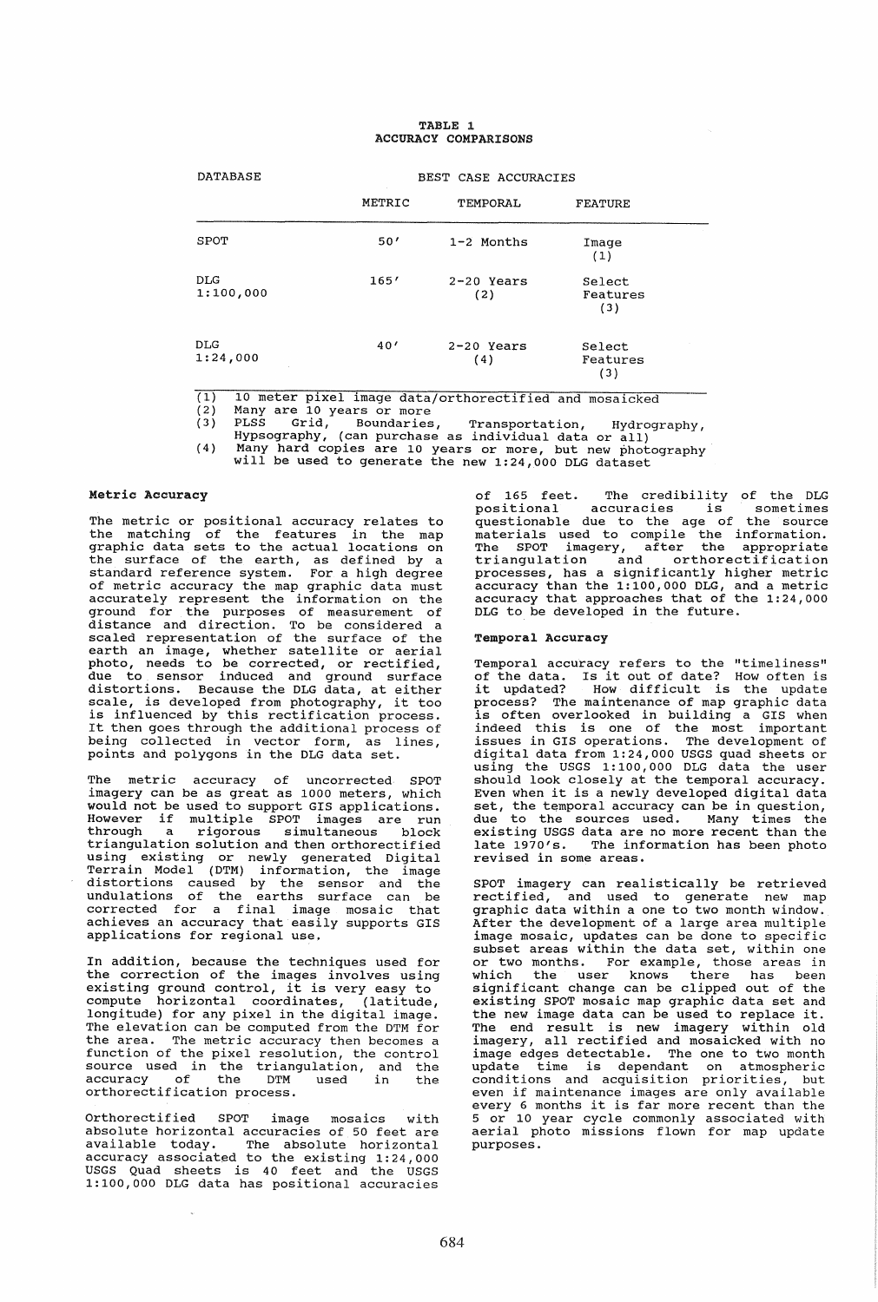#### TABLE 1 ACCURACY COMPARISONS

| <b>DATABASE</b>         | BEST CASE ACCURACIES |                     |                           |
|-------------------------|----------------------|---------------------|---------------------------|
|                         | METRIC               | TEMPORAL            | <b>FEATURE</b>            |
| SPOT                    | 50'                  | 1-2 Months          | Image<br>(1)              |
| <b>DLG</b><br>1:100,000 | 165'                 | $2-20$ Years<br>(2) | Select<br>Features<br>(3) |
| <b>DLG</b><br>1:24,000  | 40'                  | $2-20$ Years<br>(4) | Select<br>Features<br>(3) |

 $\overline{(1)}$ 10 meter pixel image datajorthorectified and mosaicked

(2) Many are 10 years or more

(3) PLSS Grid, Boundaries, Transportation, Hydrography, Hypsography, (can purchase as individual data or all)

(4) Many hard copies are 10 years or more, but new photography will be used to generate the new 1:24,000 DLG dataset

# Metric Accuracy

The metric or positional accuracy relates to the matching of the features in the map<br>graphic data sets to the actual locations on graphic data sets to the actual locations on the surface of the earth, as defined by a standard reference system. For a high degree of metric accuracy the map graphic data must accurately represent the information on the ground for the purposes of measurement of distance and direction. To be considered a scaled representation of the surface of the earth an image, whether satellite or aerial photo, needs to be corrected, or rectified, due to sensor induced and ground surface distortions. Because the DLG data, at either scale, is developed from photography, it too is influenced by this rectification process. It then goes through the additional process of being collected in vector form, as lines, points and polygons in the DLG data set.

The metric accuracy of uncorrected SPOT imagery can be as great as 1000 meters, which would not be used to support GIS applications. However if multiple SPOT images are run through a rigorous simultaneous block triangulation solution and then orthorectified using existing or newly generated Digital Terrain Model (DTM) information, the image distortions caused by the sensor and the undulations of the earths surface can be corrected for a final image mosaic that achieves an accuracy that easily supports GIS applications for regional use.

In addition, because the techniques used for the correction of the images involves using existing ground control, it is very easy to compute horizontal coordinates, (latitude, longitude) for any pixel in the digital image. The elevation can be computed from the DTM for<br>the area. The metric accuracy then becomes a the area. The metric accuracy then becomes a function of the pixel resolution, the control source used in the triangulation, and the accuracy of the DTM used in the orthorectification process.

Orthorectified SPOT image mosaics with absolute horizontal accuracies of 50 feet are available today. The absolute horizontal accuracy associated to the existing 1:24,000 USGS Quad sheets is 40 feet and the USGS 1:100,000 DLG data has positional accuracies of 165 feet. The credibility of the DLG<br>positional accuracies is sometimes positional accuracies is sometimes<br>questionable due to the age of the source questionable due to the age of the source materials used to compile the information. materiars asca to comprise the information.<br>The SPOT imagery, after the appropriate triangulation and orthorectification processes, has a significantly higher metric accuracy than the 1:100,000 DLG, and a metric accuracy that approaches that of the 1:24,000 DLG to be developed in the future.

## Temporal Accuracy

Temporal accuracy refers to the "timeliness" of the data. Is it out of date? How often is it updated? How difficult is the update process? The maintenance of map graphic data is often overlooked in building a GIS when indeed this is one of the most important issues in GIS operations. The development of digital data from 1:24,000 USGS quad sheets or using the USGS 1:100,000 DLG data the user should look closely at the temporal accuracy. Even when it is a newly developed digital data set, the temporal accuracy can be in question, due to the sources used. Many times the existing USGS data are no more recent than the late 1970's. The information has been photo revised in some areas.

SPOT imagery can realistically be retrieved rectified, and used to generate new map graphic data within a one to two month window. After the development of a large area multiple image mosaic, updates can be done to specific subset areas within the data set, within one or two months. For example, those areas in or two months. For example, those areas in<br>which the user knows there has been significant change can be clipped out of the existing SPOT mosaic map graphic data set and the new image data can be used to replace it. The end result is new imagery within old imagery, all rectified and mosaicked with no<br>image edges detectable. The one to two month image eages acceceable: The one co ewo month conditions and acquisition priorities, but even if maintenance images are only available even it maintenance images are only available<br>every 6 months it is far more recent than the<br>5 or 10 year cycle commonly associated with<br>aerial photo missions flown for map update purposes.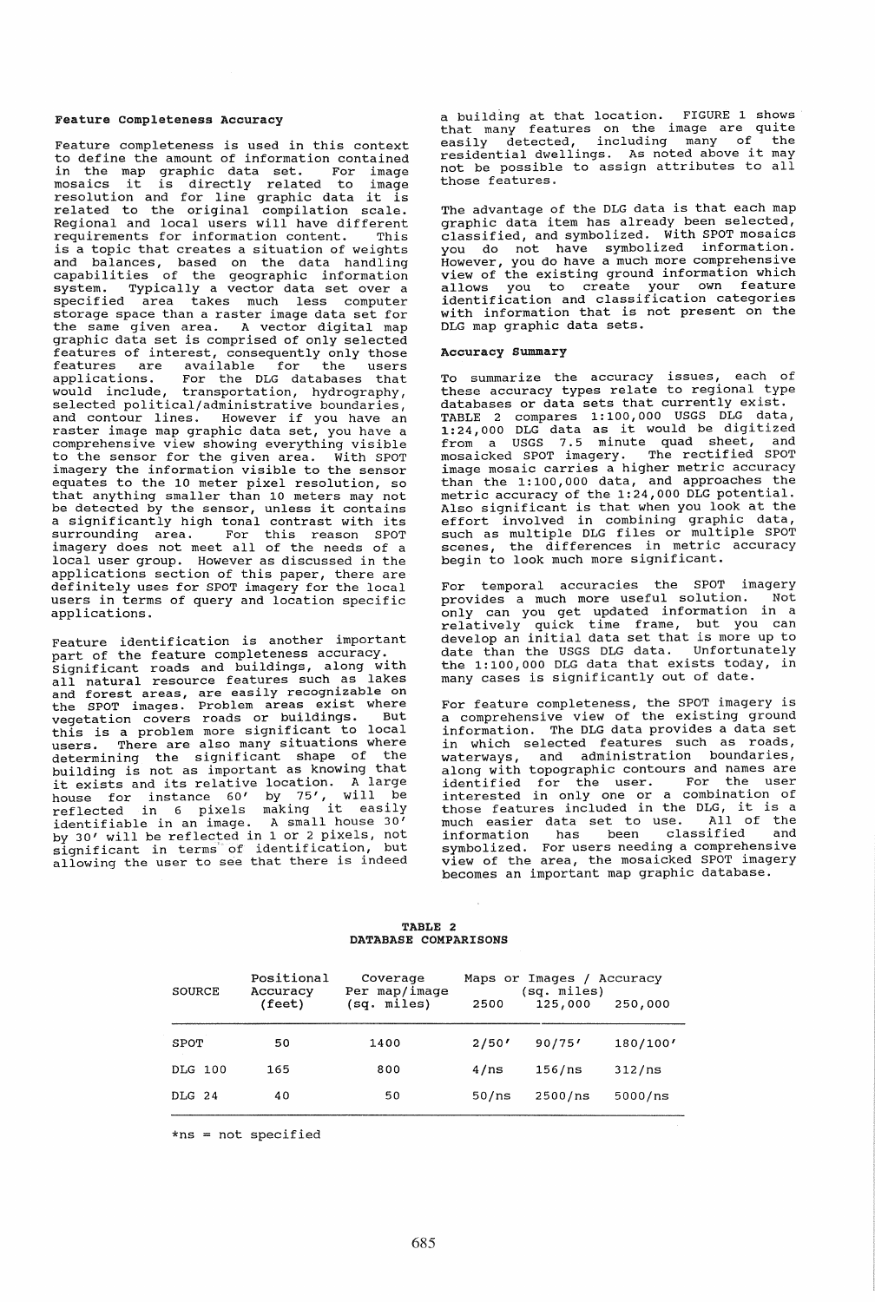#### Feature completeness Accuracy

Feature completeness is used in this context to define the amount of information contained in the map graphic data set. For image mosaics it is directly related to image mosaics it is directly related to image<br>resolution and for line graphic data it is<br>related to the original compilation scale. Regional and local users will have different<br>requirements for information content. This requirements for information content. is a topic that creates a situation of weights and balances, based on the data handling capabilities of the geographic information system. Typically a vector data set over a specified area takes much less computer storage space than a raster image data set for the same given area. A vector digital map graphic data set is comprised of only selected depite and see is comprised of only selected<br>features of interest, consequently only those features are available for the users applications. For the DLG databases that would include, transportation, hydrography, selected political/administrative boundaries selected porficiear/administrative boundaries,<br>and contour lines. However if you have an<br>raster image map graphic data set, you have a comprehensive view showing everything visible to the sensor for the given area. With SPOT imagery the information visible to the sensor equates to the 10 meter pixel resolution, so<br>that anything smaller than 10 meters may not be detected by the sensor, unless it contains a significantly high tonal contrast with its surrounding area. For this reason SPOT imagery does not meet all of the needs of a local user group. However as discussed in the applications section of this paper, there are definitely uses for SPOT imagery for the local users in terms of query and location specific applications.

Feature identification is another important part of the feature completeness accuracy. significant roads and buildings, along with all natural resource features such as lakes and forest areas, are easily recognizable on the SPOT images. Problem areas exist where vegetation covers roads or buildings. But this is a problem more significant to local users. There are also many situations where determining the significant shape of the building is not as important as knowing that it exists and its relative location. A large house for instance 60' by 75', will be reflected in 6 pixels making it easily identifiable in an image. A small house 30' by 30' will be reflected in 1 or 2 pixels, not significant in terms' of identification, but allowing the user to see that there is indeed

a building at that location. FIGURE 1 shows that many features on the image are quite easily detected, including many of the easily detected, including many of the<br>residential dwellings. As noted above it may not be possible to assign attributes to all those features.

The advantage of the DLG data is that each map graphic data item has already been selected, classified, and symbolized. With SPOT mosaics you do not have symbolized information. However, you do have a much more comprehensive view of the existing ground information which allows you to create your own feature identification and classification categories with information that is not present on the DLG map graphic data sets.

#### Accuracy summary

To summarize the accuracy issues, each of these accuracy types relate to regional type databases or data sets that currently exist. TABLE 2 compares 1:100,000 USGS DLG data, TABLE 2 Compares 1:100,000 0565 DLG data as it would be digitized<br>1:24,000 DLG data as it would be digitized<br>from a USGS 7.5 minute quad sheet, and<br>mosaicked SPOT imagery. The rectified SPOT image mosaic carries a higher metric accuracy than the 1: 100,000 data, and approaches the metric accuracy of the 1:24,000 DLG potential. Also significant is that when you look at the Also significant is that when you found to the such as multiple DLG files or multiple SPOT scenes, the differences in metric accuracy begin to look much more significant.

For temporal accuracies the SPOT imagery<br>provides a much more useful solution. Not provides a much more useful solution. only can you get updated information in a relatively quick time frame, but you can develop an initial data set that is more up to date than the USGS DLG data. Unfortunately the 1:100,000 DLG data that exists today, in many cases is significantly out of date.

For feature completeness, the SPOT imagery is a comprehensive view of the existing ground information. The DLG data provides a data set in which selected features such as roads, waterways, and administration boundaries, along with topographic contours and names are identified for the user. For the user interested in only one or a combination of those features included in the DLG, it is a much easier data set to use. All of the information has been classified and information has been classified and<br>symbolized. For users needing a comprehensive view of the area, the mosaicked SPOT imagery becomes an important map graphic database.

# TABLE 2 DATABASE COMPARISONS

| SOURCE  | Positional<br>Accuracy<br>(fect) | Coverage<br>Per map/image<br>(sq. miles) | 2500  | Maps or Images /<br>(sq. miles)<br>125,000 | Accuracy<br>250,000 |
|---------|----------------------------------|------------------------------------------|-------|--------------------------------------------|---------------------|
| SPOT    | 50                               | 1400                                     | 2/50' | 90/75'                                     | 180/100'            |
| DLG 100 | 165                              | 800                                      | 4/ns  | 156/ns                                     | 312/ns              |
| DLG 24  | 40                               | 50                                       | 50/ns | 2500/ns                                    | 5000/ns             |

 $*ns = not specified$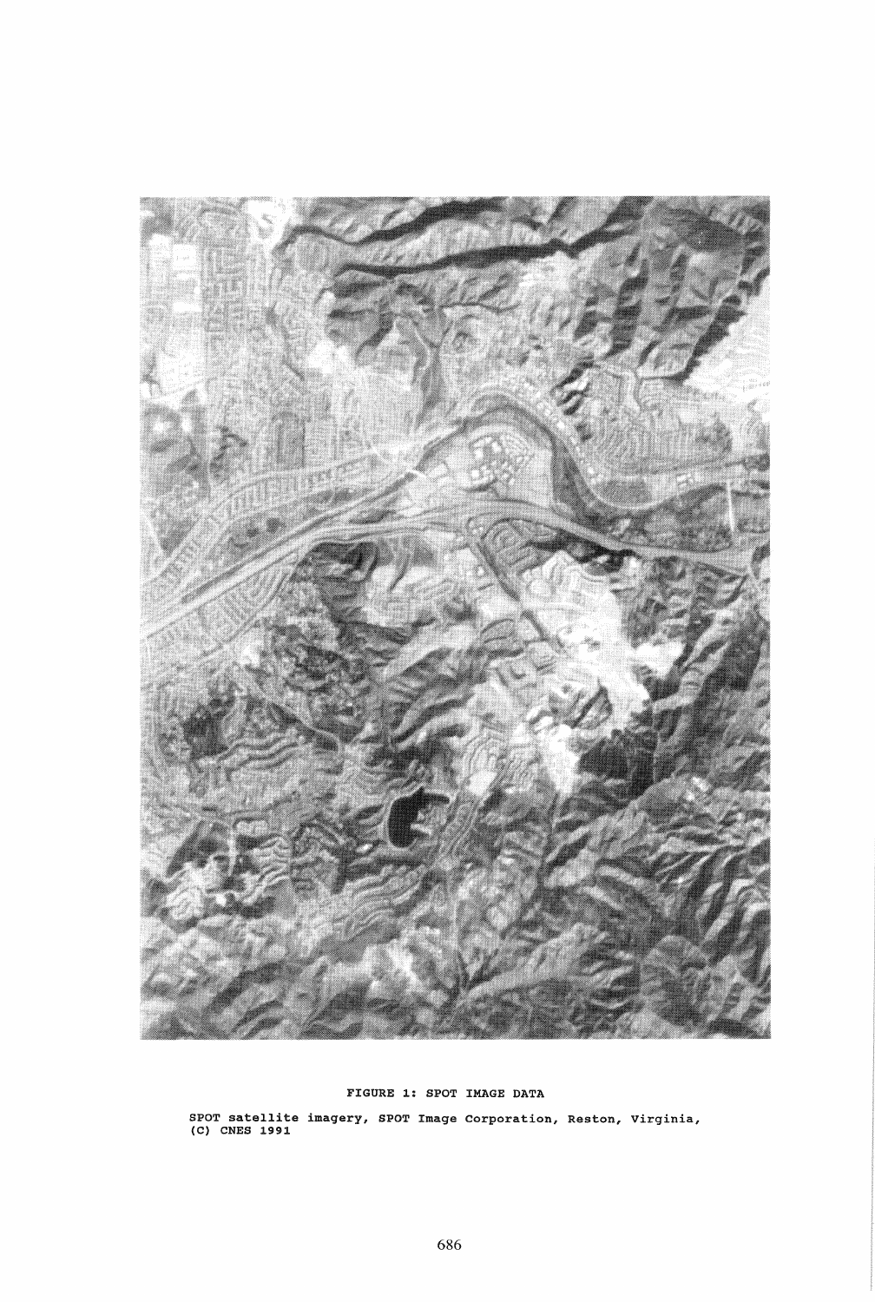

# FIGURE 1: SPOT IMAGE DATA

SPOT satellite imagery, SPOT Image corporation, Reston, virginia, (C) CNES 1991